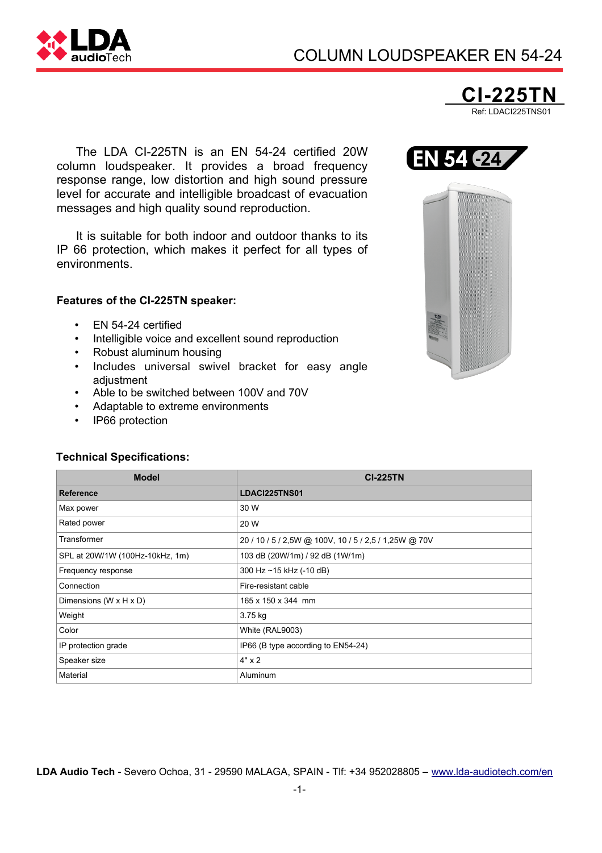



The LDA CI-225TN is an EN 54-24 certified 20W column loudspeaker. It provides a broad frequency response range, low distortion and high sound pressure level for accurate and intelligible broadcast of evacuation messages and high quality sound reproduction.

It is suitable for both indoor and outdoor thanks to its IP 66 protection, which makes it perfect for all types of environments.

## **Features of the CI-225TN speaker:**

- EN 54-24 certified
- Intelligible voice and excellent sound reproduction
- Robust aluminum housing
- Includes universal swivel bracket for easy angle adjustment
- Able to be switched between 100V and 70V
- Adaptable to extreme environments
- IP66 protection

## **Technical Specifications:**

| <b>Model</b>                         | <b>CI-225TN</b>                                       |
|--------------------------------------|-------------------------------------------------------|
| <b>Reference</b>                     | LDACI225TNS01                                         |
| Max power                            | 30 W                                                  |
| Rated power                          | 20 W                                                  |
| Transformer                          | 20 / 10 / 5 / 2,5W @ 100V, 10 / 5 / 2,5 / 1,25W @ 70V |
| SPL at 20W/1W (100Hz-10kHz, 1m)      | 103 dB (20W/1m) / 92 dB (1W/1m)                       |
| Frequency response                   | 300 Hz ~15 kHz (-10 dB)                               |
| Connection                           | Fire-resistant cable                                  |
| Dimensions (W $\times$ H $\times$ D) | 165 x 150 x 344 mm                                    |
| Weight                               | 3.75 kg                                               |
| Color                                | White (RAL9003)                                       |
| IP protection grade                  | IP66 (B type according to EN54-24)                    |
| Speaker size                         | $4" \times 2$                                         |
| Material                             | Aluminum                                              |

**LDA Audio Tech** - Severo Ochoa, 31 - 29590 MALAGA, SPAIN - Tlf: +34 952028805 – [www.lda-audiotech.com/en](http://www.lda-audiotech.com/en)



EN 54 -24